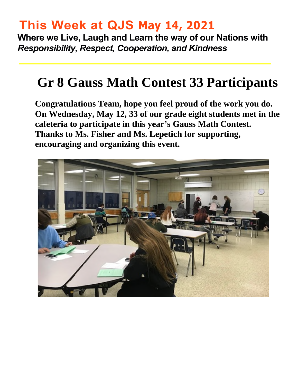# **This Week at QJS May 14, 2021**

**Where we Live, Laugh and Learn the way of our Nations with**  *Responsibility, Respect, Cooperation, and Kindness* 

# **Gr 8 Gauss Math Contest 33 Participants**

**Congratulations Team, hope you feel proud of the work you do. On Wednesday, May 12, 33 of our grade eight students met in the cafeteria to participate in this year's Gauss Math Contest. Thanks to Ms. Fisher and Ms. Lepetich for supporting, encouraging and organizing this event.** 

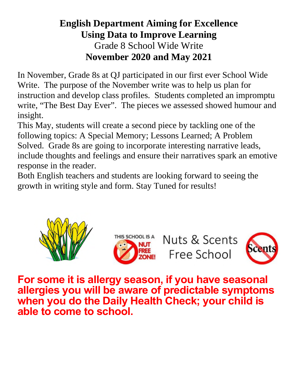### **English Department Aiming for Excellence Using Data to Improve Learning**  Grade 8 School Wide Write **November 2020 and May 2021**

In November, Grade 8s at QJ participated in our first ever School Wide Write. The purpose of the November write was to help us plan for instruction and develop class profiles. Students completed an impromptu write, "The Best Day Ever". The pieces we assessed showed humour and insight.

This May, students will create a second piece by tackling one of the following topics: A Special Memory; Lessons Learned; A Problem Solved. Grade 8s are going to incorporate interesting narrative leads, include thoughts and feelings and ensure their narratives spark an emotive response in the reader.

Both English teachers and students are looking forward to seeing the growth in writing style and form. Stay Tuned for results!





Nuts & Scents Free School



**For some it is allergy season, if you have seasonal allergies you will be aware of predictable symptoms when you do the Daily Health Check; your child is able to come to school.**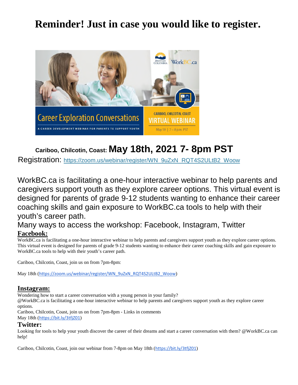### **Reminder! Just in case you would like to register.**



#### **Cariboo, Chilcotin, Coast: May 18th, 2021 7- 8pm PST**

Registration: [https://zoom.us/webinar/register/WN\\_9uZxN\\_RQT4S2ULtB2\\_Woow](https://zoom.us/webinar/register/WN_9uZxN_RQT4S2ULtB2_Woow)

WorkBC.ca is facilitating a one-hour interactive webinar to help parents and caregivers support youth as they explore career options. This virtual event is designed for parents of grade 9-12 students wanting to enhance their career coaching skills and gain exposure to WorkBC.ca tools to help with their youth's career path.

#### Many ways to access the workshop: Facebook, Instagram, Twitter **Facebook:**

WorkBC.ca is facilitating a one-hour interactive webinar to help parents and caregivers support youth as they explore career options. This virtual event is designed for parents of grade 9-12 students wanting to enhance their career coaching skills and gain exposure to WorkBC.ca tools to help with their youth's career path.

Cariboo, Chilcotin, Coast, join us on from 7pm-8pm:

May 18th ([https://zoom.us/webinar/register/WN\\_9uZxN\\_RQT4S2ULtB2\\_Woow](https://zoom.us/webinar/register/WN_9uZxN_RQT4S2ULtB2_Woow))

#### **Instagram:**

Wondering how to start a career conversation with a young person in your family?

@WorkBC.ca is facilitating a one-hour interactive webinar to help parents and caregivers support youth as they explore career options.

Cariboo, Chilcotin, Coast, join us on from 7pm-8pm - Links in comments May 18th (<https://bit.ly/3tfjZ01>)

#### **Twitter:**

Looking for tools to help your youth discover the career of their dreams and start a career conversation with them? @WorkBC.ca can help!

Cariboo, Chilcotin, Coast, join our webinar from 7-8pm on May 18th (<https://bit.ly/3tfjZ01>)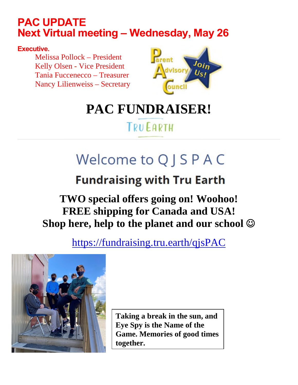## **PAC UPDATE Next Virtual meeting – Wednesday, May 26**

**Executive.** 

Melissa Pollock – President Kelly Olsen - Vice President Tania Fuccenecco – Treasurer Nancy Lilienweiss – Secretary



# **PAC FUNDRAISER!**

# **TRUEARTH**

# Welcome to Q J S P A C

# **Fundraising with Tru Earth**

# **TWO special offers going on! Woohoo! FREE shipping for Canada and USA! Shop here, help to the planet and our school**

<https://fundraising.tru.earth/qjsPAC>



**Taking a break in the sun, and Eye Spy is the Name of the Game. Memories of good times together.**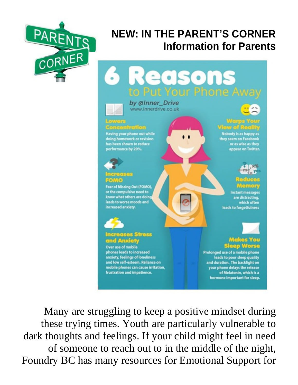

# **NEW: IN THE PARENT'S CORNER Information for Parents**



Many are struggling to keep a positive mindset during these trying times. Youth are particularly vulnerable to dark thoughts and feelings. If your child might feel in need of someone to reach out to in the middle of the night, Foundry BC has many resources for Emotional Support for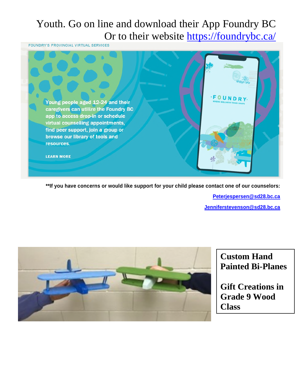# Youth. Go on line and download their App Foundry BC Or to their website https://foundrybc.ca/

**FOUNDRY'S PROVINCIAL VIRTUAL SERVICES** 



**\*\*If you have concerns or would like support for your child please contact one of our counselors:** 

**[Peterjespersen@sd28.bc.ca](mailto:Peterjespersen@sd28.bc.ca)**

**[Jenniferstevenson@sd28.bc.ca](mailto:Jenniferstevenson@sd28.bc.ca)**



**Custom Hand Painted Bi-Planes** 

**Gift Creations in Grade 9 Wood Class**